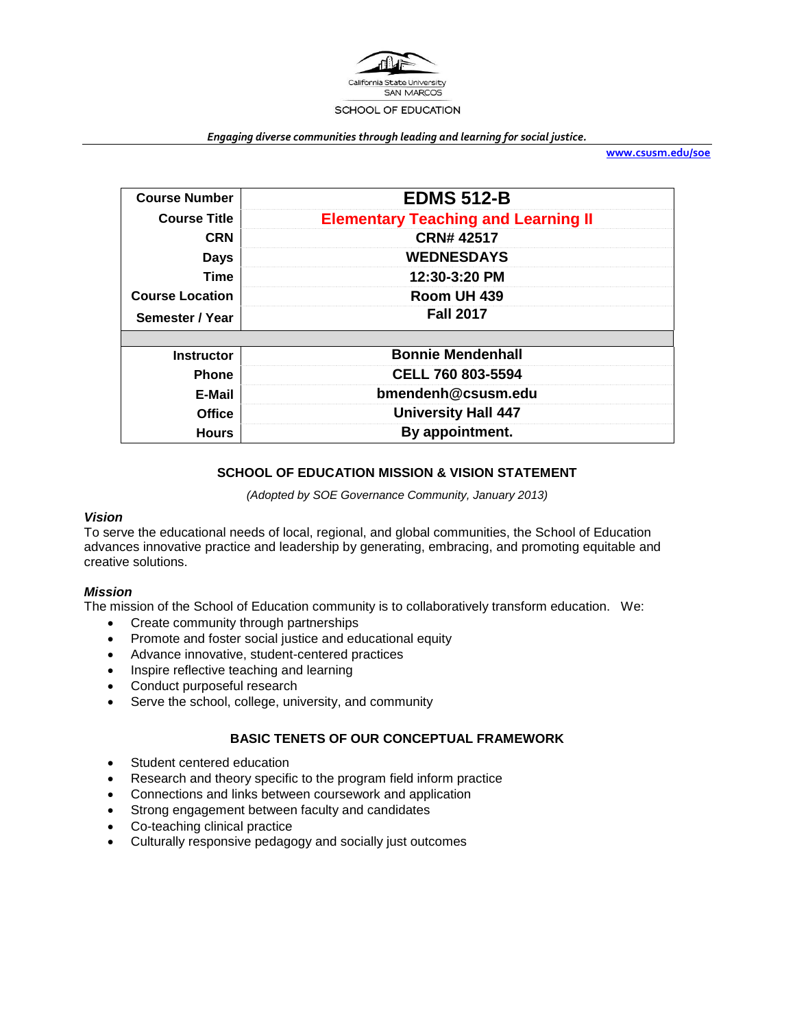

#### *Engaging diverse communities through leading and learning for social justice.*

**[www.csusm.edu/soe](http://www.csusm.edu/soe)**

| <b>Course Number</b>                  | <b>EDMS 512-B</b>                          |  |
|---------------------------------------|--------------------------------------------|--|
| <b>Course Title</b>                   | <b>Elementary Teaching and Learning II</b> |  |
| <b>CRN</b>                            | <b>CRN#42517</b>                           |  |
| <b>Days</b>                           | <b>WEDNESDAYS</b>                          |  |
| Time                                  | 12:30-3:20 PM                              |  |
| <b>Course Location</b><br>Room UH 439 |                                            |  |
| Semester / Year                       | <b>Fall 2017</b>                           |  |
|                                       |                                            |  |
| <b>Instructor</b>                     | <b>Bonnie Mendenhall</b>                   |  |
| <b>Phone</b>                          | <b>CELL 760 803-5594</b>                   |  |
| E-Mail                                | bmendenh@csusm.edu                         |  |
| <b>Office</b>                         | <b>University Hall 447</b>                 |  |
| <b>Hours</b>                          | By appointment.                            |  |

#### **SCHOOL OF EDUCATION MISSION & VISION STATEMENT**

*(Adopted by SOE Governance Community, January 2013)*

#### *Vision*

To serve the educational needs of local, regional, and global communities, the School of Education advances innovative practice and leadership by generating, embracing, and promoting equitable and creative solutions.

#### *Mission*

The mission of the School of Education community is to collaboratively transform education. We:

- Create community through partnerships
- Promote and foster social justice and educational equity
- Advance innovative, student-centered practices
- Inspire reflective teaching and learning
- Conduct purposeful research
- Serve the school, college, university, and community

#### **BASIC TENETS OF OUR CONCEPTUAL FRAMEWORK**

- Student centered education
- Research and theory specific to the program field inform practice
- Connections and links between coursework and application
- Strong engagement between faculty and candidates
- Co-teaching clinical practice
- Culturally responsive pedagogy and socially just outcomes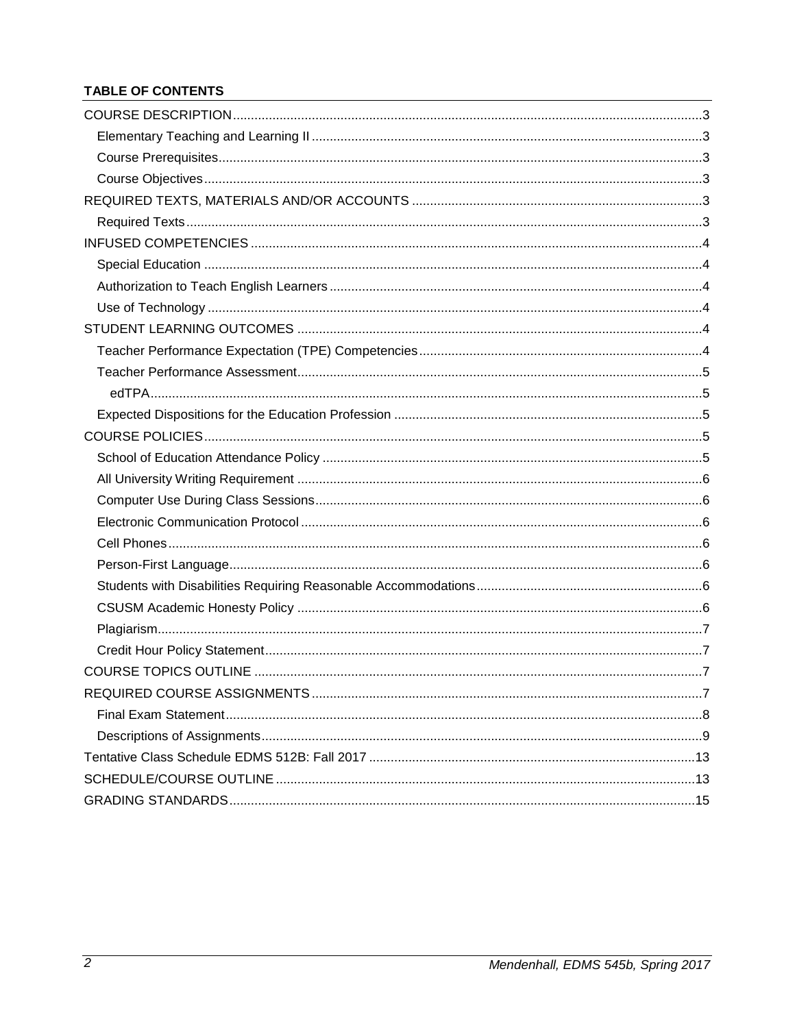# TABLE OF CONTENTS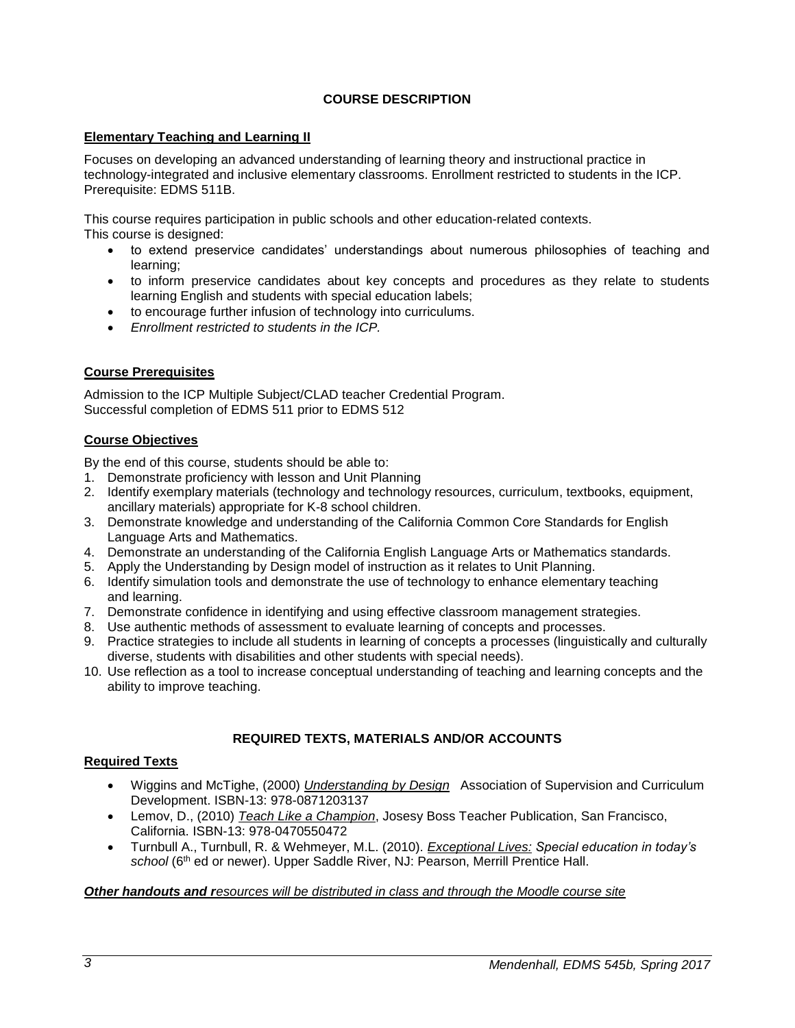# **COURSE DESCRIPTION**

#### <span id="page-2-1"></span><span id="page-2-0"></span>**Elementary Teaching and Learning II**

Focuses on developing an advanced understanding of learning theory and instructional practice in technology-integrated and inclusive elementary classrooms. Enrollment restricted to students in the ICP. Prerequisite: EDMS 511B.

This course requires participation in public schools and other education-related contexts. This course is designed:

- to extend preservice candidates' understandings about numerous philosophies of teaching and learning;
- to inform preservice candidates about key concepts and procedures as they relate to students learning English and students with special education labels;
- to encourage further infusion of technology into curriculums.
- *Enrollment restricted to students in the ICP.*

# <span id="page-2-2"></span>**Course Prerequisites**

Admission to the ICP Multiple Subject/CLAD teacher Credential Program. Successful completion of EDMS 511 prior to EDMS 512

# <span id="page-2-3"></span>**Course Objectives**

By the end of this course, students should be able to:

- 1. Demonstrate proficiency with lesson and Unit Planning
- 2. Identify exemplary materials (technology and technology resources, curriculum, textbooks, equipment, ancillary materials) appropriate for K-8 school children.
- 3. Demonstrate knowledge and understanding of the California Common Core Standards for English Language Arts and Mathematics.
- 4. Demonstrate an understanding of the California English Language Arts or Mathematics standards.
- 5. Apply the Understanding by Design model of instruction as it relates to Unit Planning.
- 6. Identify simulation tools and demonstrate the use of technology to enhance elementary teaching and learning.
- 7. Demonstrate confidence in identifying and using effective classroom management strategies.
- 8. Use authentic methods of assessment to evaluate learning of concepts and processes.
- 9. Practice strategies to include all students in learning of concepts a processes (linguistically and culturally diverse, students with disabilities and other students with special needs).
- 10. Use reflection as a tool to increase conceptual understanding of teaching and learning concepts and the ability to improve teaching.

#### **REQUIRED TEXTS, MATERIALS AND/OR ACCOUNTS**

#### <span id="page-2-5"></span><span id="page-2-4"></span>**Required Texts**

- Wiggins and McTighe, (2000) *Understanding by Design* Association of Supervision and Curriculum Development. ISBN-13: 978-0871203137
- Lemov, D., (2010) *Teach Like a Champion*, Josesy Boss Teacher Publication, San Francisco, California. ISBN-13: 978-0470550472
- Turnbull A., Turnbull, R. & Wehmeyer, M.L. (2010). *Exceptional Lives: Special education in today's*  school (6<sup>th</sup> ed or newer). Upper Saddle River, NJ: Pearson, Merrill Prentice Hall.

#### *Other handouts and resources will be distributed in class and through the Moodle course site*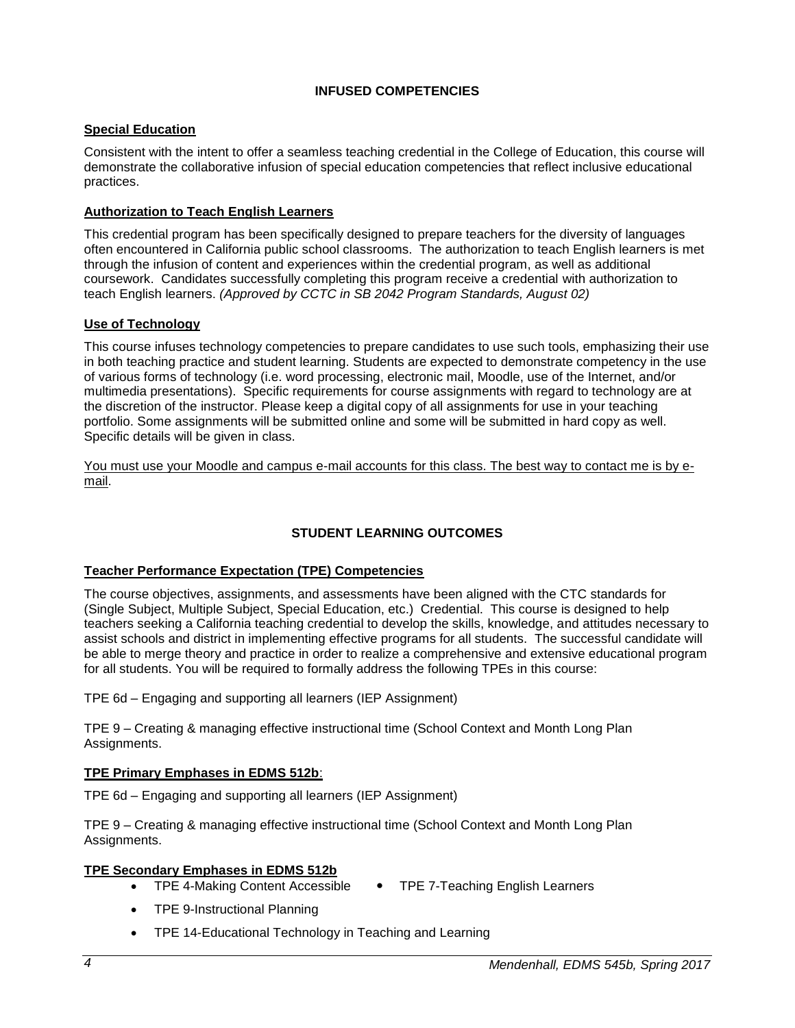#### **INFUSED COMPETENCIES**

#### <span id="page-3-1"></span><span id="page-3-0"></span>**Special Education**

Consistent with the intent to offer a seamless teaching credential in the College of Education, this course will demonstrate the collaborative infusion of special education competencies that reflect inclusive educational practices.

#### <span id="page-3-2"></span>**Authorization to Teach English Learners**

This credential program has been specifically designed to prepare teachers for the diversity of languages often encountered in California public school classrooms. The authorization to teach English learners is met through the infusion of content and experiences within the credential program, as well as additional coursework. Candidates successfully completing this program receive a credential with authorization to teach English learners. *(Approved by CCTC in SB 2042 Program Standards, August 02)*

#### <span id="page-3-3"></span>**Use of Technology**

This course infuses technology competencies to prepare candidates to use such tools, emphasizing their use in both teaching practice and student learning. Students are expected to demonstrate competency in the use of various forms of technology (i.e. word processing, electronic mail, Moodle, use of the Internet, and/or multimedia presentations). Specific requirements for course assignments with regard to technology are at the discretion of the instructor. Please keep a digital copy of all assignments for use in your teaching portfolio. Some assignments will be submitted online and some will be submitted in hard copy as well. Specific details will be given in class.

You must use your Moodle and campus e-mail accounts for this class. The best way to contact me is by email.

# **STUDENT LEARNING OUTCOMES**

#### <span id="page-3-5"></span><span id="page-3-4"></span>**Teacher Performance Expectation (TPE) Competencies**

The course objectives, assignments, and assessments have been aligned with the CTC standards for (Single Subject, Multiple Subject, Special Education, etc.) Credential. This course is designed to help teachers seeking a California teaching credential to develop the skills, knowledge, and attitudes necessary to assist schools and district in implementing effective programs for all students. The successful candidate will be able to merge theory and practice in order to realize a comprehensive and extensive educational program for all students. You will be required to formally address the following TPEs in this course:

TPE 6d – Engaging and supporting all learners (IEP Assignment)

TPE 9 – Creating & managing effective instructional time (School Context and Month Long Plan Assignments.

#### **TPE Primary Emphases in EDMS 512b**:

TPE 6d – Engaging and supporting all learners (IEP Assignment)

TPE 9 – Creating & managing effective instructional time (School Context and Month Long Plan Assignments.

#### **TPE Secondary Emphases in EDMS 512b**

- TPE 4-Making Content Accessible TPE 7-Teaching English Learners
- TPE 9-Instructional Planning
- TPE 14-Educational Technology in Teaching and Learning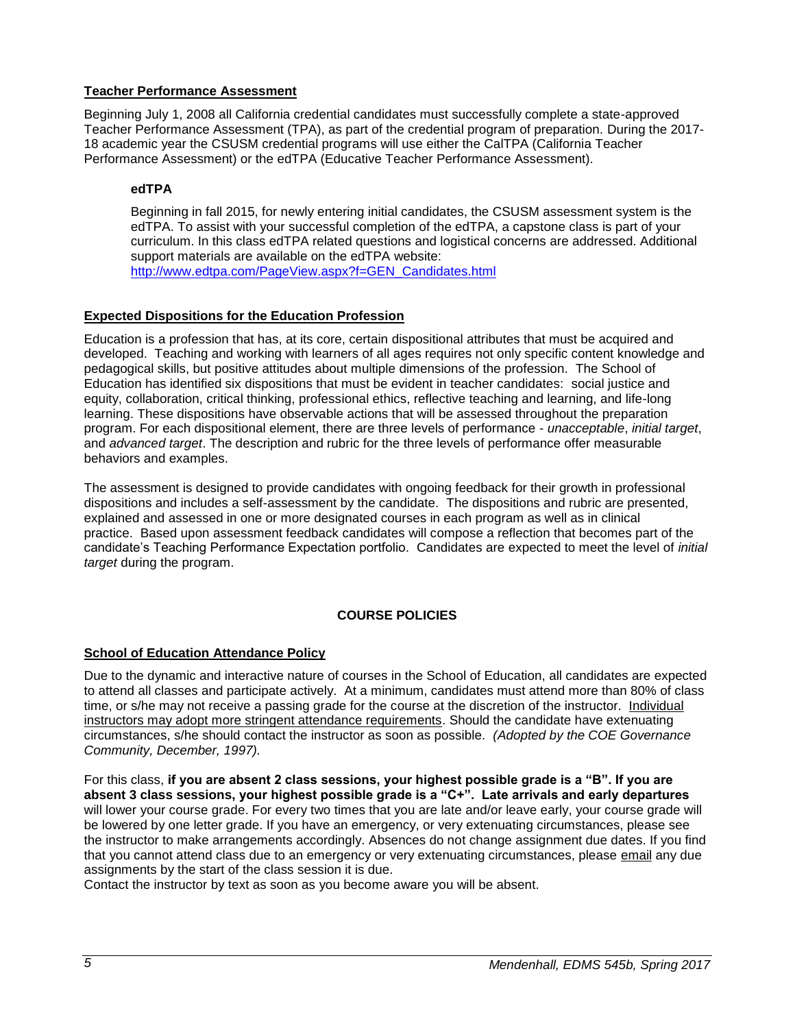# <span id="page-4-0"></span>**Teacher Performance Assessment**

Beginning July 1, 2008 all California credential candidates must successfully complete a state-approved Teacher Performance Assessment (TPA), as part of the credential program of preparation. During the 2017- 18 academic year the CSUSM credential programs will use either the CalTPA (California Teacher Performance Assessment) or the edTPA (Educative Teacher Performance Assessment).

# <span id="page-4-1"></span>**edTPA**

Beginning in fall 2015, for newly entering initial candidates, the CSUSM assessment system is the edTPA. To assist with your successful completion of the edTPA, a capstone class is part of your curriculum. In this class edTPA related questions and logistical concerns are addressed. Additional support materials are available on the edTPA website: [http://www.edtpa.com/PageView.aspx?f=GEN\\_Candidates.html](http://www.edtpa.com/PageView.aspx?f=GEN_Candidates.html)

# <span id="page-4-2"></span>**Expected Dispositions for the Education Profession**

Education is a profession that has, at its core, certain dispositional attributes that must be acquired and developed. Teaching and working with learners of all ages requires not only specific content knowledge and pedagogical skills, but positive attitudes about multiple dimensions of the profession. The School of Education has identified six dispositions that must be evident in teacher candidates: social justice and equity, collaboration, critical thinking, professional ethics, reflective teaching and learning, and life-long learning. These dispositions have observable actions that will be assessed throughout the preparation program. For each dispositional element, there are three levels of performance - *unacceptable*, *initial target*, and *advanced target*. The description and rubric for the three levels of performance offer measurable behaviors and examples.

The assessment is designed to provide candidates with ongoing feedback for their growth in professional dispositions and includes a self-assessment by the candidate. The dispositions and rubric are presented, explained and assessed in one or more designated courses in each program as well as in clinical practice. Based upon assessment feedback candidates will compose a reflection that becomes part of the candidate's Teaching Performance Expectation portfolio. Candidates are expected to meet the level of *initial target* during the program.

#### **COURSE POLICIES**

#### <span id="page-4-4"></span><span id="page-4-3"></span>**School of Education Attendance Policy**

Due to the dynamic and interactive nature of courses in the School of Education, all candidates are expected to attend all classes and participate actively. At a minimum, candidates must attend more than 80% of class time, or s/he may not receive a passing grade for the course at the discretion of the instructor. Individual instructors may adopt more stringent attendance requirements. Should the candidate have extenuating circumstances, s/he should contact the instructor as soon as possible. *(Adopted by the COE Governance Community, December, 1997).*

For this class, **if you are absent 2 class sessions, your highest possible grade is a "B". If you are absent 3 class sessions, your highest possible grade is a "C+". Late arrivals and early departures** will lower your course grade. For every two times that you are late and/or leave early, your course grade will be lowered by one letter grade. If you have an emergency, or very extenuating circumstances, please see the instructor to make arrangements accordingly. Absences do not change assignment due dates. If you find that you cannot attend class due to an emergency or very extenuating circumstances, please email any due assignments by the start of the class session it is due.

Contact the instructor by text as soon as you become aware you will be absent.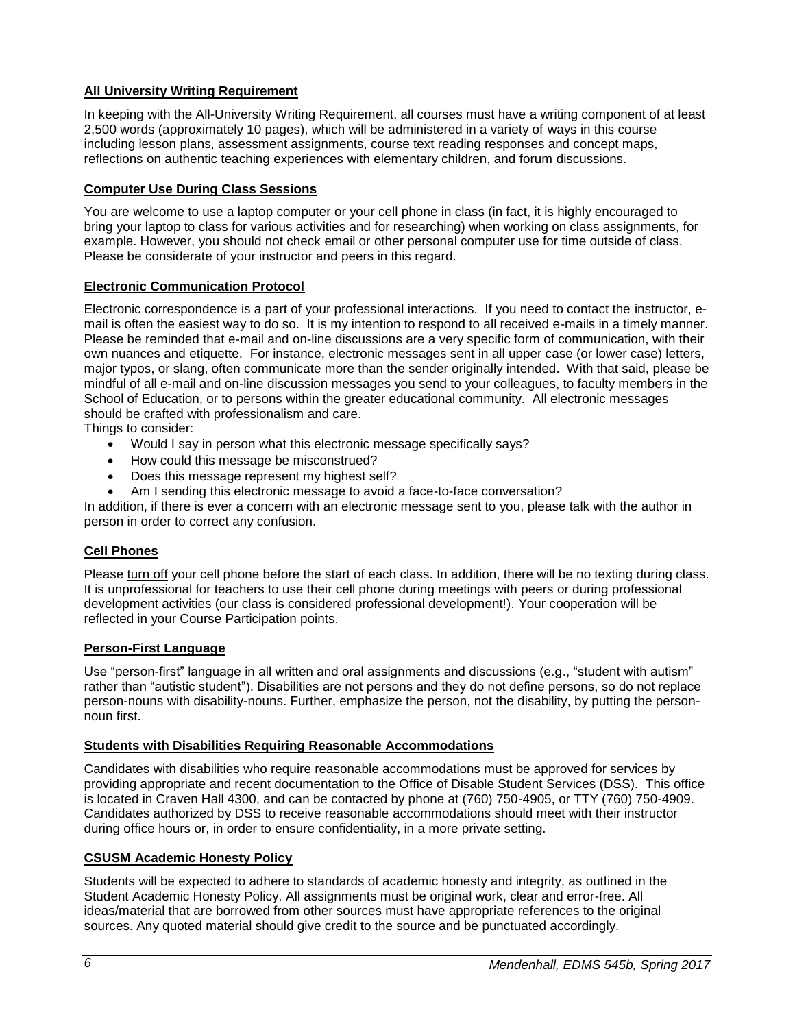# <span id="page-5-0"></span>**All University Writing Requirement**

In keeping with the All-University Writing Requirement, all courses must have a writing component of at least 2,500 words (approximately 10 pages), which will be administered in a variety of ways in this course including lesson plans, assessment assignments, course text reading responses and concept maps, reflections on authentic teaching experiences with elementary children, and forum discussions.

# <span id="page-5-1"></span>**Computer Use During Class Sessions**

You are welcome to use a laptop computer or your cell phone in class (in fact, it is highly encouraged to bring your laptop to class for various activities and for researching) when working on class assignments, for example. However, you should not check email or other personal computer use for time outside of class. Please be considerate of your instructor and peers in this regard.

# <span id="page-5-2"></span>**Electronic Communication Protocol**

Electronic correspondence is a part of your professional interactions. If you need to contact the instructor, email is often the easiest way to do so. It is my intention to respond to all received e-mails in a timely manner. Please be reminded that e-mail and on-line discussions are a very specific form of communication, with their own nuances and etiquette. For instance, electronic messages sent in all upper case (or lower case) letters, major typos, or slang, often communicate more than the sender originally intended. With that said, please be mindful of all e-mail and on-line discussion messages you send to your colleagues, to faculty members in the School of Education, or to persons within the greater educational community. All electronic messages should be crafted with professionalism and care.

Things to consider:

- Would I say in person what this electronic message specifically says?
- How could this message be misconstrued?
- Does this message represent my highest self?
- Am I sending this electronic message to avoid a face-to-face conversation?

In addition, if there is ever a concern with an electronic message sent to you, please talk with the author in person in order to correct any confusion.

#### <span id="page-5-3"></span>**Cell Phones**

Please turn off your cell phone before the start of each class. In addition, there will be no texting during class. It is unprofessional for teachers to use their cell phone during meetings with peers or during professional development activities (our class is considered professional development!). Your cooperation will be reflected in your Course Participation points.

#### <span id="page-5-4"></span>**Person-First Language**

Use "person-first" language in all written and oral assignments and discussions (e.g., "student with autism" rather than "autistic student"). Disabilities are not persons and they do not define persons, so do not replace person-nouns with disability-nouns. Further, emphasize the person, not the disability, by putting the personnoun first.

#### <span id="page-5-5"></span>**Students with Disabilities Requiring Reasonable Accommodations**

Candidates with disabilities who require reasonable accommodations must be approved for services by providing appropriate and recent documentation to the Office of Disable Student Services (DSS). This office is located in Craven Hall 4300, and can be contacted by phone at (760) 750-4905, or TTY (760) 750-4909. Candidates authorized by DSS to receive reasonable accommodations should meet with their instructor during office hours or, in order to ensure confidentiality, in a more private setting.

#### <span id="page-5-6"></span>**CSUSM Academic Honesty Policy**

Students will be expected to adhere to standards of academic honesty and integrity, as outlined in the Student Academic Honesty Policy. All assignments must be original work, clear and error-free. All ideas/material that are borrowed from other sources must have appropriate references to the original sources. Any quoted material should give credit to the source and be punctuated accordingly.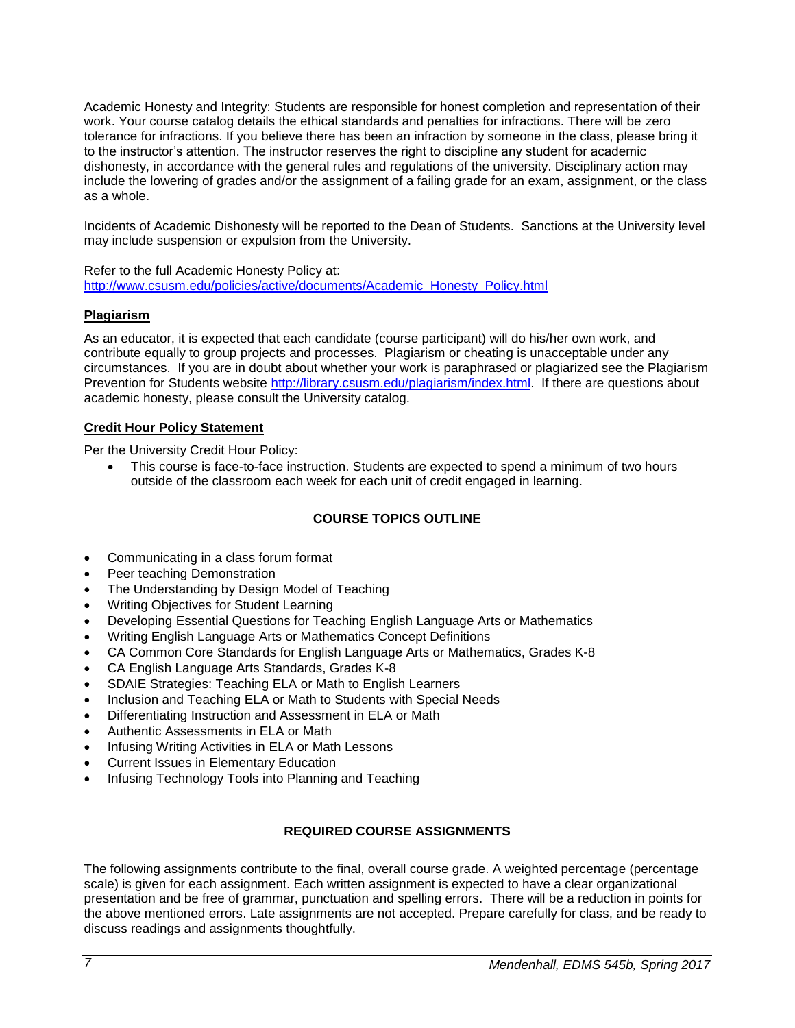Academic Honesty and Integrity: Students are responsible for honest completion and representation of their work. Your course catalog details the ethical standards and penalties for infractions. There will be zero tolerance for infractions. If you believe there has been an infraction by someone in the class, please bring it to the instructor's attention. The instructor reserves the right to discipline any student for academic dishonesty, in accordance with the general rules and regulations of the university. Disciplinary action may include the lowering of grades and/or the assignment of a failing grade for an exam, assignment, or the class as a whole.

Incidents of Academic Dishonesty will be reported to the Dean of Students. Sanctions at the University level may include suspension or expulsion from the University.

Refer to the full Academic Honesty Policy at: [http://www.csusm.edu/policies/active/documents/Academic\\_Honesty\\_Policy.html](http://www.csusm.edu/policies/active/documents/Academic_Honesty_Policy.html)

#### <span id="page-6-0"></span>**Plagiarism**

As an educator, it is expected that each candidate (course participant) will do his/her own work, and contribute equally to group projects and processes. Plagiarism or cheating is unacceptable under any circumstances. If you are in doubt about whether your work is paraphrased or plagiarized see the Plagiarism Prevention for Students website [http://library.csusm.edu/plagiarism/index.html.](http://library.csusm.edu/plagiarism/index.html) If there are questions about academic honesty, please consult the University catalog.

# <span id="page-6-1"></span>**Credit Hour Policy Statement**

Per the University Credit Hour Policy:

 This course is face-to-face instruction. Students are expected to spend a minimum of two hours outside of the classroom each week for each unit of credit engaged in learning.

# **COURSE TOPICS OUTLINE**

- <span id="page-6-2"></span>Communicating in a class forum format
- Peer teaching Demonstration
- The Understanding by Design Model of Teaching
- Writing Objectives for Student Learning
- Developing Essential Questions for Teaching English Language Arts or Mathematics
- Writing English Language Arts or Mathematics Concept Definitions
- CA Common Core Standards for English Language Arts or Mathematics, Grades K-8
- CA English Language Arts Standards, Grades K-8
- SDAIE Strategies: Teaching ELA or Math to English Learners
- Inclusion and Teaching ELA or Math to Students with Special Needs
- Differentiating Instruction and Assessment in ELA or Math
- Authentic Assessments in ELA or Math
- Infusing Writing Activities in ELA or Math Lessons
- Current Issues in Elementary Education
- <span id="page-6-3"></span>Infusing Technology Tools into Planning and Teaching

# **REQUIRED COURSE ASSIGNMENTS**

The following assignments contribute to the final, overall course grade. A weighted percentage (percentage scale) is given for each assignment. Each written assignment is expected to have a clear organizational presentation and be free of grammar, punctuation and spelling errors. There will be a reduction in points for the above mentioned errors. Late assignments are not accepted. Prepare carefully for class, and be ready to discuss readings and assignments thoughtfully.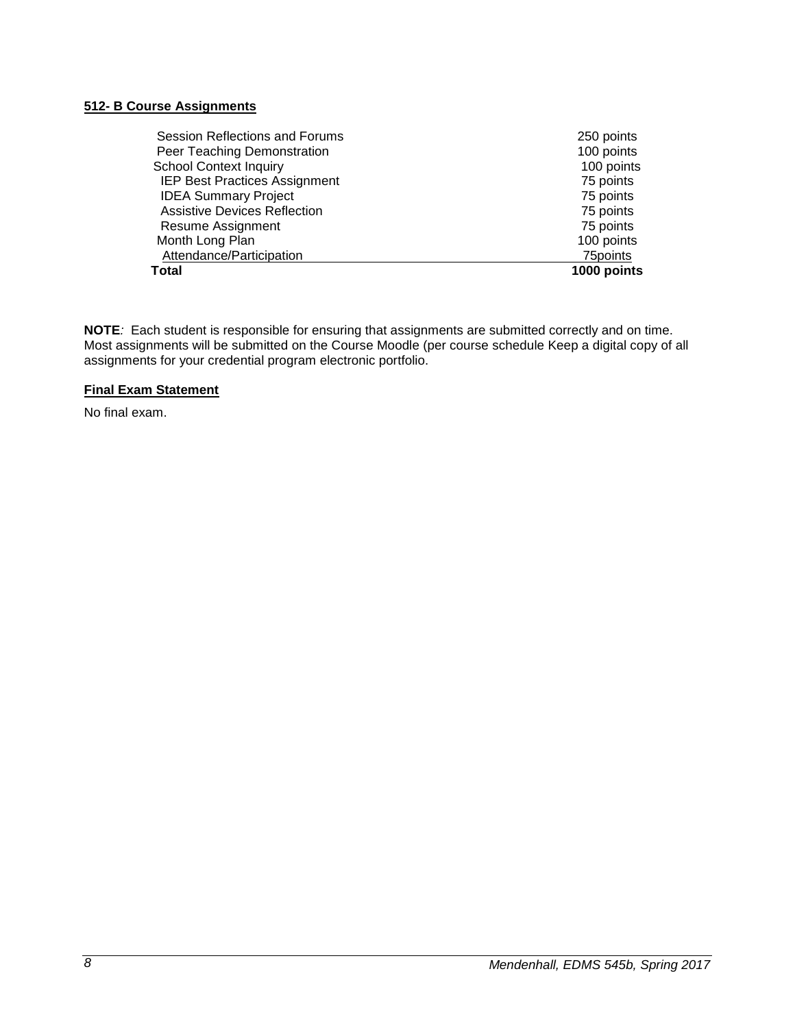#### **512- B Course Assignments**

| Session Reflections and Forums       | 250 points  |
|--------------------------------------|-------------|
| Peer Teaching Demonstration          | 100 points  |
| <b>School Context Inquiry</b>        | 100 points  |
| <b>IEP Best Practices Assignment</b> | 75 points   |
| <b>IDEA Summary Project</b>          | 75 points   |
| <b>Assistive Devices Reflection</b>  | 75 points   |
| Resume Assignment                    | 75 points   |
| Month Long Plan                      | 100 points  |
| Attendance/Participation             | 75points    |
| Total                                | 1000 points |

**NOTE***:* Each student is responsible for ensuring that assignments are submitted correctly and on time. Most assignments will be submitted on the Course Moodle (per course schedule Keep a digital copy of all assignments for your credential program electronic portfolio.

#### <span id="page-7-0"></span>**Final Exam Statement**

No final exam.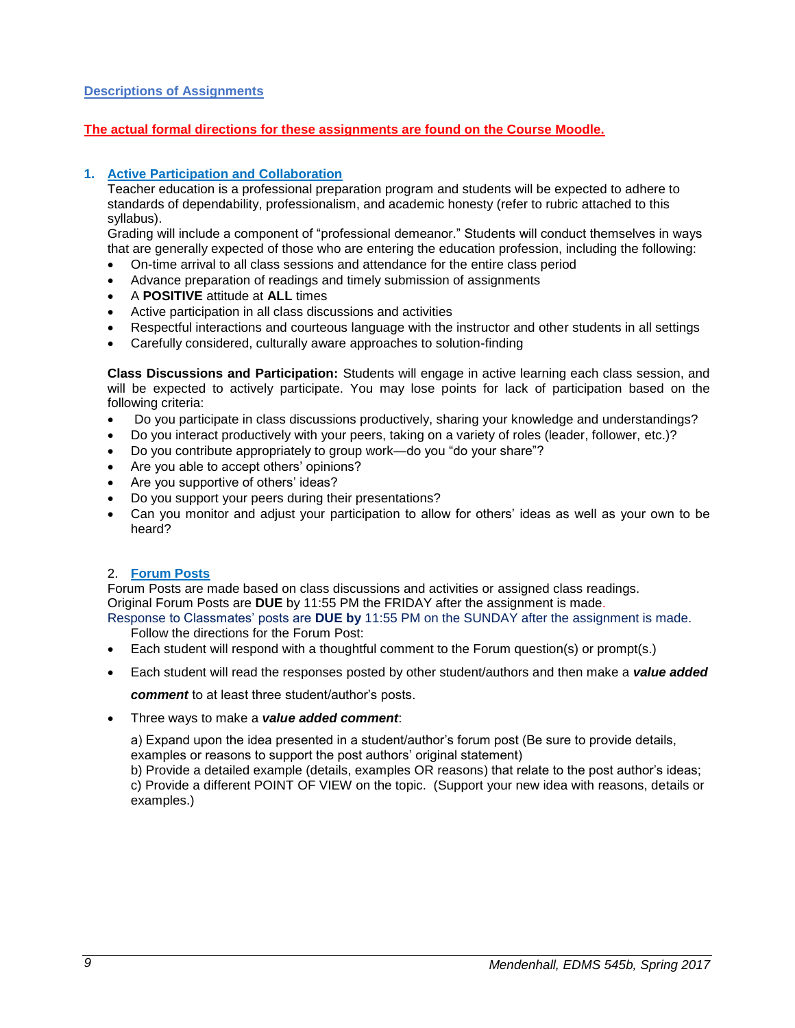#### <span id="page-8-0"></span>**Descriptions of Assignments**

#### **The actual formal directions for these assignments are found on the Course Moodle.**

#### **1. Active Participation and Collaboration**

Teacher education is a professional preparation program and students will be expected to adhere to standards of dependability, professionalism, and academic honesty (refer to rubric attached to this syllabus).

Grading will include a component of "professional demeanor." Students will conduct themselves in ways that are generally expected of those who are entering the education profession, including the following:

- On-time arrival to all class sessions and attendance for the entire class period
- Advance preparation of readings and timely submission of assignments
- A **POSITIVE** attitude at **ALL** times
- Active participation in all class discussions and activities
- Respectful interactions and courteous language with the instructor and other students in all settings
- Carefully considered, culturally aware approaches to solution-finding

**Class Discussions and Participation:** Students will engage in active learning each class session, and will be expected to actively participate. You may lose points for lack of participation based on the following criteria:

- Do you participate in class discussions productively, sharing your knowledge and understandings?
- Do you interact productively with your peers, taking on a variety of roles (leader, follower, etc.)?
- Do you contribute appropriately to group work—do you "do your share"?
- Are you able to accept others' opinions?
- Are you supportive of others' ideas?
- Do you support your peers during their presentations?
- Can you monitor and adjust your participation to allow for others' ideas as well as your own to be heard?

#### 2. **Forum Posts**

Forum Posts are made based on class discussions and activities or assigned class readings. Original Forum Posts are **DUE** by 11:55 PM the FRIDAY after the assignment is made.

Response to Classmates' posts are **DUE by** 11:55 PM on the SUNDAY after the assignment is made. Follow the directions for the Forum Post:

- Each student will respond with a thoughtful comment to the Forum question(s) or prompt(s.)
- Each student will read the responses posted by other student/authors and then make a *value added*

*comment* to at least three student/author's posts.

Three ways to make a *value added comment*:

a) Expand upon the idea presented in a student/author's forum post (Be sure to provide details, examples or reasons to support the post authors' original statement)

b) Provide a detailed example (details, examples OR reasons) that relate to the post author's ideas; c) Provide a different POINT OF VIEW on the topic. (Support your new idea with reasons, details or examples.)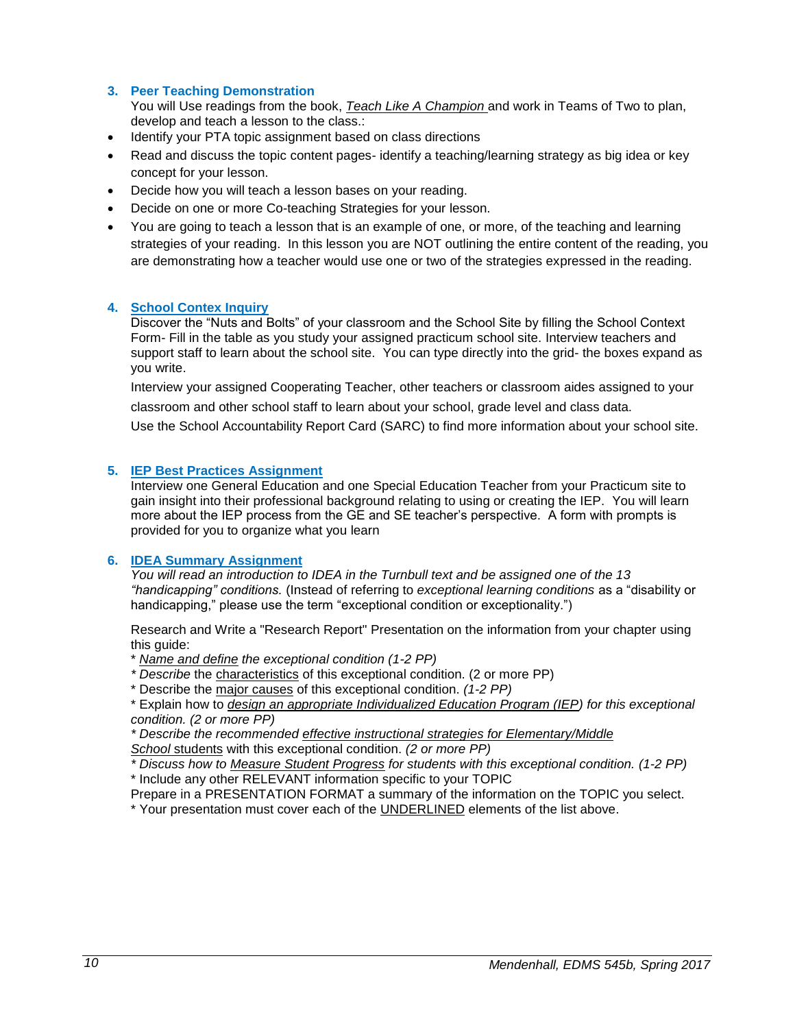#### **3. Peer Teaching Demonstration**

You will Use readings from the book, *Teach Like A Champion* and work in Teams of Two to plan, develop and teach a lesson to the class.:

- Identify your PTA topic assignment based on class directions
- Read and discuss the topic content pages- identify a teaching/learning strategy as big idea or key concept for your lesson.
- Decide how you will teach a lesson bases on your reading.
- Decide on one or more Co-teaching Strategies for your lesson.
- You are going to teach a lesson that is an example of one, or more, of the teaching and learning strategies of your reading. In this lesson you are NOT outlining the entire content of the reading, you are demonstrating how a teacher would use one or two of the strategies expressed in the reading.

#### **4. School Contex Inquiry**

Discover the "Nuts and Bolts" of your classroom and the School Site by filling the School Context Form- Fill in the table as you study your assigned practicum school site. Interview teachers and support staff to learn about the school site. You can type directly into the grid- the boxes expand as you write.

Interview your assigned Cooperating Teacher, other teachers or classroom aides assigned to your classroom and other school staff to learn about your school, grade level and class data.

Use the School Accountability Report Card (SARC) to find more information about your school site.

#### **5. IEP Best Practices Assignment**

Interview one General Education and one Special Education Teacher from your Practicum site to gain insight into their professional background relating to using or creating the IEP. You will learn more about the IEP process from the GE and SE teacher's perspective. A form with prompts is provided for you to organize what you learn

#### **6. IDEA Summary Assignment**

*You will read an introduction to IDEA in the Turnbull text and be assigned one of the 13 "handicapping" conditions.* (Instead of referring to *exceptional learning conditions* as a "disability or handicapping," please use the term "exceptional condition or exceptionality.")

Research and Write a "Research Report" Presentation on the information from your chapter using this quide:

\* *Name and define the exceptional condition (1-2 PP)*

- *\* Describe* the characteristics of this exceptional condition. (2 or more PP)
- \* Describe the major causes of this exceptional condition. *(1-2 PP)*

\* Explain how to *design an appropriate Individualized Education Program (IEP) for this exceptional condition. (2 or more PP)*

*\* Describe the recommended effective instructional strategies for Elementary/Middle School* students with this exceptional condition. *(2 or more PP)*

*\* Discuss how to Measure Student Progress for students with this exceptional condition. (1-2 PP)* \* Include any other RELEVANT information specific to your TOPIC

Prepare in a PRESENTATION FORMAT a summary of the information on the TOPIC you select.

\* Your presentation must cover each of the UNDERLINED elements of the list above.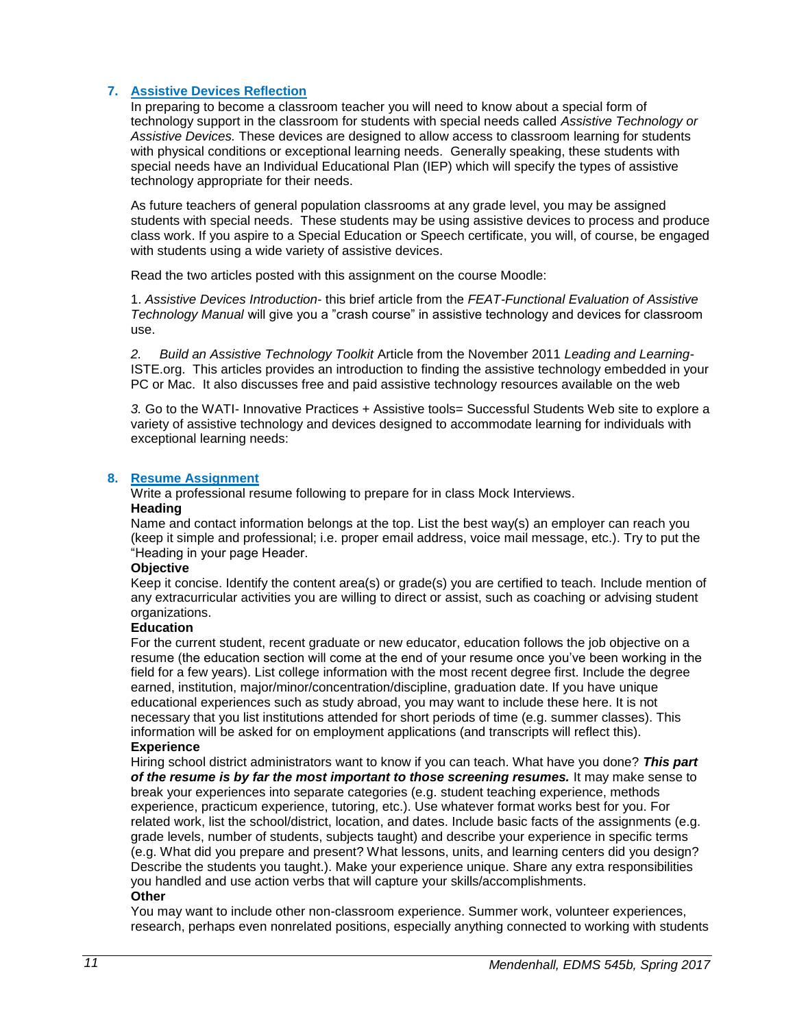#### **7. Assistive Devices Reflection**

In preparing to become a classroom teacher you will need to know about a special form of technology support in the classroom for students with special needs called *Assistive Technology or Assistive Devices.* These devices are designed to allow access to classroom learning for students with physical conditions or exceptional learning needs. Generally speaking, these students with special needs have an Individual Educational Plan (IEP) which will specify the types of assistive technology appropriate for their needs.

As future teachers of general population classrooms at any grade level, you may be assigned students with special needs. These students may be using assistive devices to process and produce class work. If you aspire to a Special Education or Speech certificate, you will, of course, be engaged with students using a wide variety of assistive devices.

Read the two articles posted with this assignment on the course Moodle:

1. *Assistive Devices Introduction*- this brief article from the *FEAT-Functional Evaluation of Assistive Technology Manual* will give you a "crash course" in assistive technology and devices for classroom use.

*2. Build an Assistive Technology Toolkit* Article from the November 2011 *Leading and Learning-*ISTE.org. This articles provides an introduction to finding the assistive technology embedded in your PC or Mac. It also discusses free and paid assistive technology resources available on the web

*3.* Go to the WATI- Innovative Practices + Assistive tools= Successful Students Web site to explore a variety of assistive technology and devices designed to accommodate learning for individuals with exceptional learning needs:

#### **8. Resume Assignment**

Write a professional resume following to prepare for in class Mock Interviews.

#### **Heading**

Name and contact information belongs at the top. List the best way(s) an employer can reach you (keep it simple and professional; i.e. proper email address, voice mail message, etc.). Try to put the "Heading in your page Header.

#### **Objective**

Keep it concise. Identify the content area(s) or grade(s) you are certified to teach. Include mention of any extracurricular activities you are willing to direct or assist, such as coaching or advising student organizations.

#### **Education**

For the current student, recent graduate or new educator, education follows the job objective on a resume (the education section will come at the end of your resume once you've been working in the field for a few years). List college information with the most recent degree first. Include the degree earned, institution, major/minor/concentration/discipline, graduation date. If you have unique educational experiences such as study abroad, you may want to include these here. It is not necessary that you list institutions attended for short periods of time (e.g. summer classes). This information will be asked for on employment applications (and transcripts will reflect this). **Experience** 

Hiring school district administrators want to know if you can teach. What have you done? *This part of the resume is by far the most important to those screening resumes.* It may make sense to break your experiences into separate categories (e.g. student teaching experience, methods experience, practicum experience, tutoring, etc.). Use whatever format works best for you. For related work, list the school/district, location, and dates. Include basic facts of the assignments (e.g. grade levels, number of students, subjects taught) and describe your experience in specific terms (e.g. What did you prepare and present? What lessons, units, and learning centers did you design? Describe the students you taught.). Make your experience unique. Share any extra responsibilities you handled and use action verbs that will capture your skills/accomplishments. **Other** 

You may want to include other non-classroom experience. Summer work, volunteer experiences, research, perhaps even nonrelated positions, especially anything connected to working with students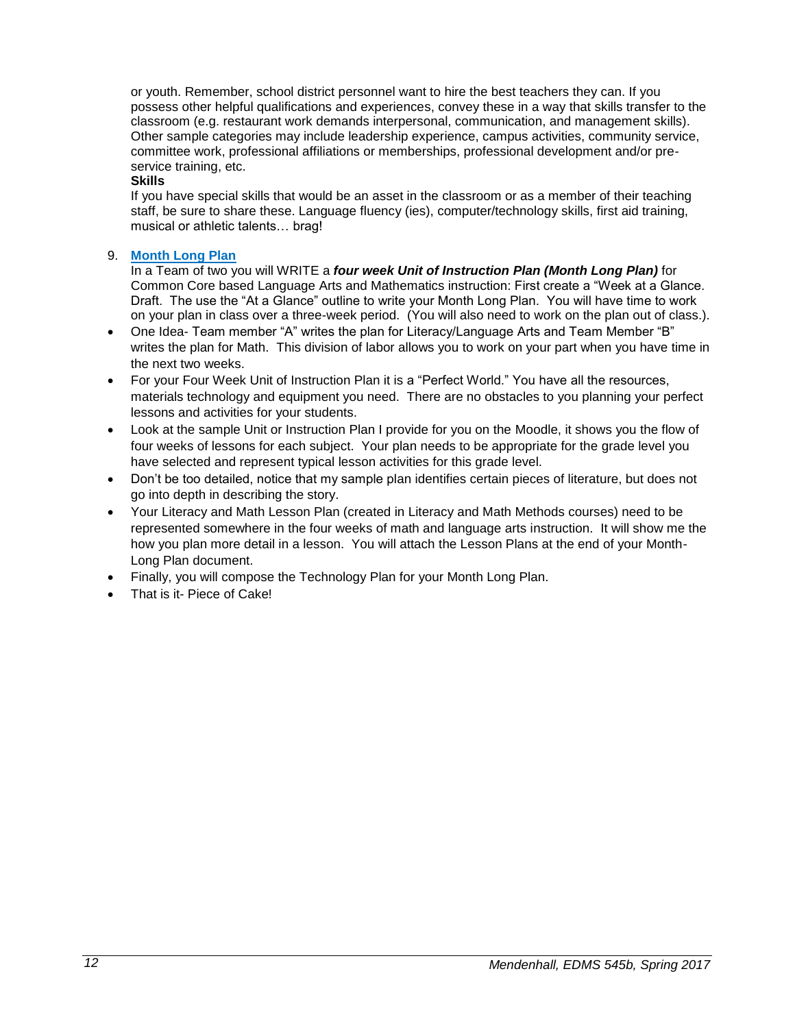or youth. Remember, school district personnel want to hire the best teachers they can. If you possess other helpful qualifications and experiences, convey these in a way that skills transfer to the classroom (e.g. restaurant work demands interpersonal, communication, and management skills). Other sample categories may include leadership experience, campus activities, community service, committee work, professional affiliations or memberships, professional development and/or preservice training, etc.

#### **Skills**

If you have special skills that would be an asset in the classroom or as a member of their teaching staff, be sure to share these. Language fluency (ies), computer/technology skills, first aid training, musical or athletic talents… brag!

#### 9. **Month Long Plan**

In a Team of two you will WRITE a *four week Unit of Instruction Plan (Month Long Plan)* for Common Core based Language Arts and Mathematics instruction: First create a "Week at a Glance. Draft. The use the "At a Glance" outline to write your Month Long Plan. You will have time to work on your plan in class over a three-week period. (You will also need to work on the plan out of class.).

- One Idea- Team member "A" writes the plan for Literacy/Language Arts and Team Member "B" writes the plan for Math. This division of labor allows you to work on your part when you have time in the next two weeks.
- For your Four Week Unit of Instruction Plan it is a "Perfect World." You have all the resources, materials technology and equipment you need. There are no obstacles to you planning your perfect lessons and activities for your students.
- Look at the sample Unit or Instruction Plan I provide for you on the Moodle, it shows you the flow of four weeks of lessons for each subject. Your plan needs to be appropriate for the grade level you have selected and represent typical lesson activities for this grade level.
- Don't be too detailed, notice that my sample plan identifies certain pieces of literature, but does not go into depth in describing the story.
- Your Literacy and Math Lesson Plan (created in Literacy and Math Methods courses) need to be represented somewhere in the four weeks of math and language arts instruction. It will show me the how you plan more detail in a lesson. You will attach the Lesson Plans at the end of your Month-Long Plan document.
- Finally, you will compose the Technology Plan for your Month Long Plan.
- That is it- Piece of Cake!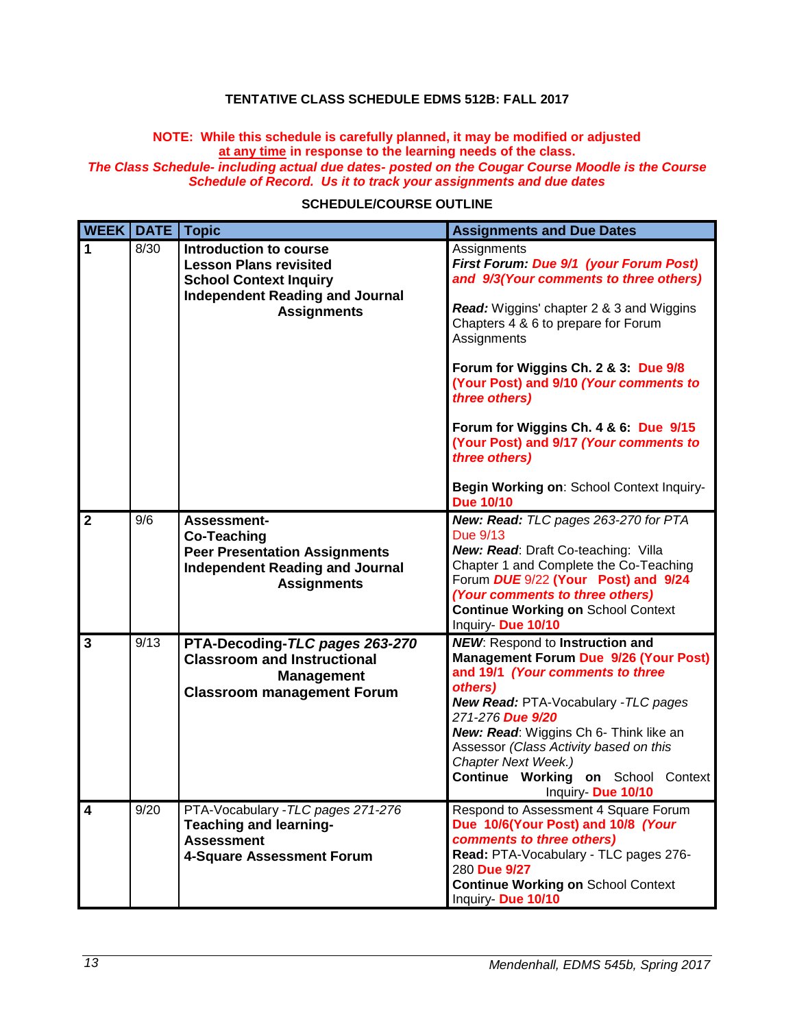# **TENTATIVE CLASS SCHEDULE EDMS 512B: FALL 2017**

#### <span id="page-12-0"></span>**NOTE: While this schedule is carefully planned, it may be modified or adjusted at any time in response to the learning needs of the class.**  *The Class Schedule- including actual due dates- posted on the Cougar Course Moodle is the Course*

# <span id="page-12-1"></span>*Schedule of Record. Us it to track your assignments and due dates* **SCHEDULE/COURSE OUTLINE**

| <b>WEEK DATE</b>        |      | <b>Topic</b>                                                                                                                                             | <b>Assignments and Due Dates</b>                                                                                                                                                                                                                                                                                                                                                                                                                                                 |
|-------------------------|------|----------------------------------------------------------------------------------------------------------------------------------------------------------|----------------------------------------------------------------------------------------------------------------------------------------------------------------------------------------------------------------------------------------------------------------------------------------------------------------------------------------------------------------------------------------------------------------------------------------------------------------------------------|
| $\mathbf{1}$            | 8/30 | Introduction to course<br><b>Lesson Plans revisited</b><br><b>School Context Inquiry</b><br><b>Independent Reading and Journal</b><br><b>Assignments</b> | Assignments<br>First Forum: Due 9/1 (your Forum Post)<br>and 9/3(Your comments to three others)<br><b>Read:</b> Wiggins' chapter 2 & 3 and Wiggins<br>Chapters 4 & 6 to prepare for Forum<br>Assignments<br>Forum for Wiggins Ch. 2 & 3: Due 9/8<br>(Your Post) and 9/10 (Your comments to<br>three others)<br>Forum for Wiggins Ch. 4 & 6: Due 9/15<br>(Your Post) and 9/17 (Your comments to<br>three others)<br>Begin Working on: School Context Inquiry-<br><b>Due 10/10</b> |
| $\overline{2}$          | 9/6  | <b>Assessment-</b><br><b>Co-Teaching</b><br><b>Peer Presentation Assignments</b><br><b>Independent Reading and Journal</b><br><b>Assignments</b>         | New: Read: TLC pages 263-270 for PTA<br>Due 9/13<br>New: Read: Draft Co-teaching: Villa<br>Chapter 1 and Complete the Co-Teaching<br>Forum DUE 9/22 (Your Post) and 9/24<br>(Your comments to three others)<br><b>Continue Working on School Context</b><br>Inquiry- Due 10/10                                                                                                                                                                                                   |
| $\overline{\mathbf{3}}$ | 9/13 | PTA-Decoding-TLC pages 263-270<br><b>Classroom and Instructional</b><br><b>Management</b><br><b>Classroom management Forum</b>                           | <b>NEW:</b> Respond to Instruction and<br><b>Management Forum Due 9/26 (Your Post)</b><br>and 19/1 (Your comments to three<br>others)<br>New Read: PTA-Vocabulary - TLC pages<br>271-276 Due 9/20<br>New: Read: Wiggins Ch 6- Think like an<br>Assessor (Class Activity based on this<br>Chapter Next Week.)<br><b>Continue Working on School</b><br>Context<br>Inquiry- Due 10/10                                                                                               |
| $\overline{\mathbf{4}}$ | 9/20 | PTA-Vocabulary - TLC pages 271-276<br><b>Teaching and learning-</b><br><b>Assessment</b><br>4-Square Assessment Forum                                    | Respond to Assessment 4 Square Forum<br>Due 10/6(Your Post) and 10/8 (Your<br>comments to three others)<br>Read: PTA-Vocabulary - TLC pages 276-<br>280 Due 9/27<br><b>Continue Working on School Context</b><br>Inquiry- Due 10/10                                                                                                                                                                                                                                              |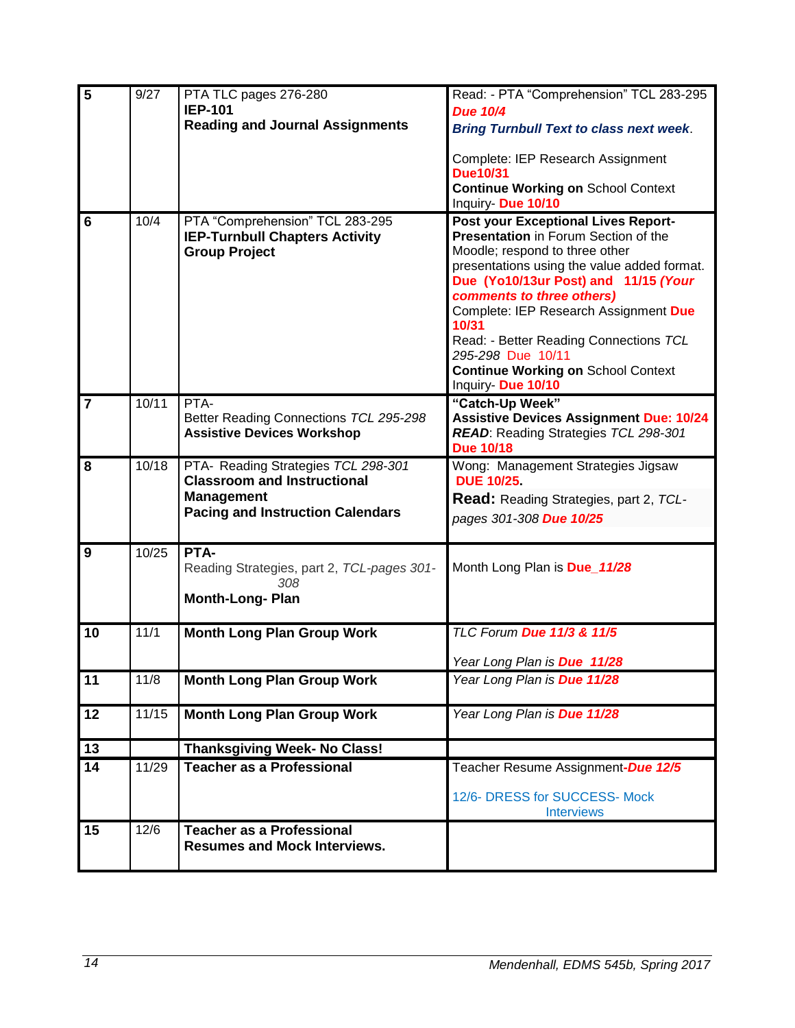| $\overline{5}$ | 9/27  | PTA TLC pages 276-280                                                     | Read: - PTA "Comprehension" TCL 283-295                                     |
|----------------|-------|---------------------------------------------------------------------------|-----------------------------------------------------------------------------|
|                |       | <b>IEP-101</b>                                                            | <b>Due 10/4</b>                                                             |
|                |       | <b>Reading and Journal Assignments</b>                                    | <b>Bring Turnbull Text to class next week.</b>                              |
|                |       |                                                                           | Complete: IEP Research Assignment                                           |
|                |       |                                                                           | Due10/31                                                                    |
|                |       |                                                                           | <b>Continue Working on School Context</b>                                   |
|                |       |                                                                           | Inquiry- Due 10/10                                                          |
| $6\phantom{1}$ | 10/4  | PTA "Comprehension" TCL 283-295                                           | Post your Exceptional Lives Report-<br>Presentation in Forum Section of the |
|                |       | <b>IEP-Turnbull Chapters Activity</b><br><b>Group Project</b>             | Moodle; respond to three other                                              |
|                |       |                                                                           | presentations using the value added format.                                 |
|                |       |                                                                           | Due (Yo10/13ur Post) and 11/15 (Your                                        |
|                |       |                                                                           | comments to three others)                                                   |
|                |       |                                                                           | Complete: IEP Research Assignment Due<br>10/31                              |
|                |       |                                                                           | Read: - Better Reading Connections TCL                                      |
|                |       |                                                                           | 295-298 Due 10/11                                                           |
|                |       |                                                                           | <b>Continue Working on School Context</b><br>Inquiry- Due 10/10             |
| $\overline{7}$ | 10/11 | PTA-                                                                      | "Catch-Up Week"                                                             |
|                |       | Better Reading Connections TCL 295-298                                    | <b>Assistive Devices Assignment Due: 10/24</b>                              |
|                |       | <b>Assistive Devices Workshop</b>                                         | READ: Reading Strategies TCL 298-301                                        |
|                |       |                                                                           | <b>Due 10/18</b>                                                            |
| 8              | 10/18 | PTA- Reading Strategies TCL 298-301<br><b>Classroom and Instructional</b> | Wong: Management Strategies Jigsaw<br><b>DUE 10/25</b>                      |
|                |       | <b>Management</b>                                                         | <b>Read:</b> Reading Strategies, part 2, TCL-                               |
|                |       | <b>Pacing and Instruction Calendars</b>                                   | pages 301-308 Due 10/25                                                     |
|                |       |                                                                           |                                                                             |
| 9              | 10/25 | PTA-                                                                      |                                                                             |
|                |       | Reading Strategies, part 2, TCL-pages 301-<br>308.                        | Month Long Plan is Due_11/28                                                |
|                |       | <b>Month-Long-Plan</b>                                                    |                                                                             |
|                |       |                                                                           |                                                                             |
| 10             | 11/1  | <b>Month Long Plan Group Work</b>                                         | TLC Forum Due 11/3 & 11/5                                                   |
|                |       |                                                                           | Year Long Plan is Due 11/28                                                 |
| 11             | 11/8  | <b>Month Long Plan Group Work</b>                                         | Year Long Plan is Due 11/28                                                 |
|                |       |                                                                           |                                                                             |
| 12             | 11/15 | <b>Month Long Plan Group Work</b>                                         | Year Long Plan is Due 11/28                                                 |
| 13             |       | <b>Thanksgiving Week- No Class!</b>                                       |                                                                             |
| 14             | 11/29 | <b>Teacher as a Professional</b>                                          | Teacher Resume Assignment-Due 12/5                                          |
|                |       |                                                                           |                                                                             |
|                |       |                                                                           | 12/6- DRESS for SUCCESS- Mock<br><b>Interviews</b>                          |
| 15             | 12/6  | <b>Teacher as a Professional</b>                                          |                                                                             |
|                |       | <b>Resumes and Mock Interviews.</b>                                       |                                                                             |
|                |       |                                                                           |                                                                             |